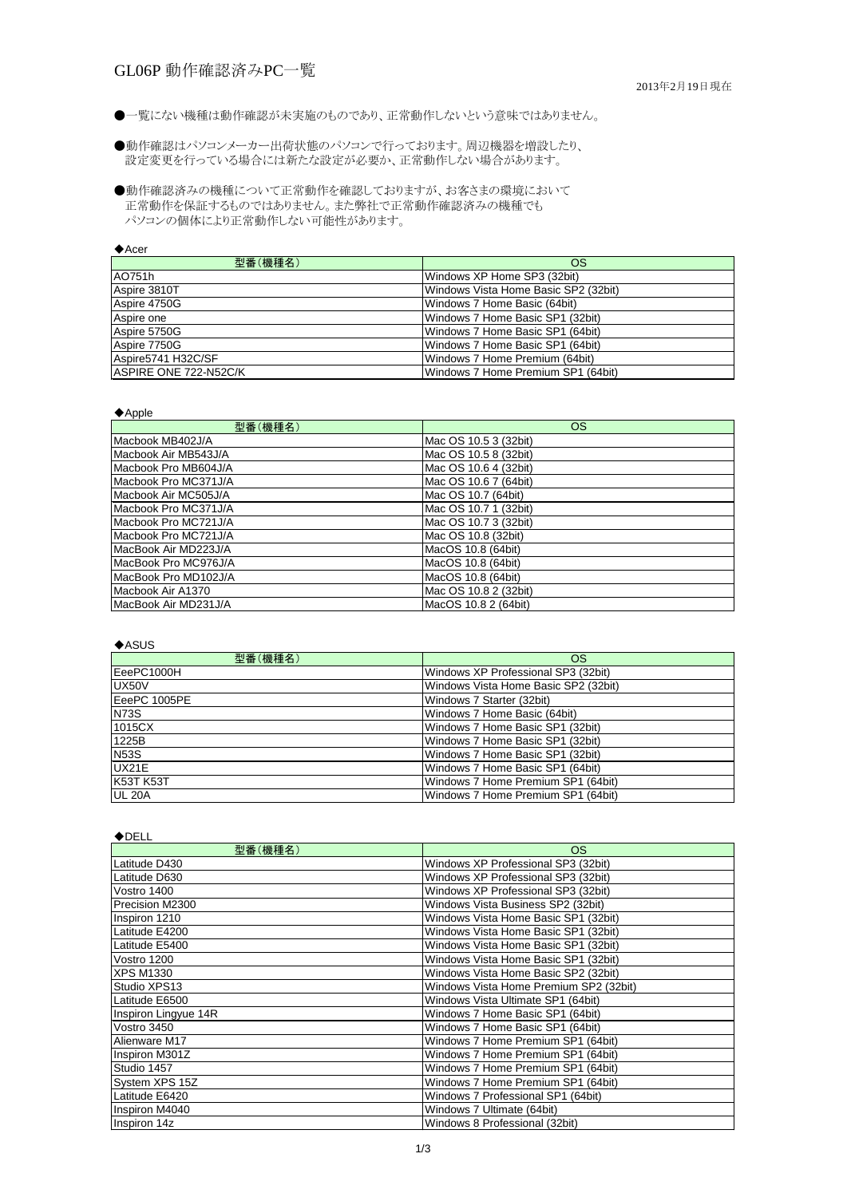# GL06P 動作確認済みPC一覧

●一覧にない機種は動作確認が未実施のものであり、正常動作しないという意味ではありません。

#### ◆Acer

| 型番(機種名)               | <b>OS</b>                            |
|-----------------------|--------------------------------------|
| AO751h                | Windows XP Home SP3 (32bit)          |
| Aspire 3810T          | Windows Vista Home Basic SP2 (32bit) |
| Aspire 4750G          | Windows 7 Home Basic (64bit)         |
| Aspire one            | Windows 7 Home Basic SP1 (32bit)     |
| Aspire 5750G          | Windows 7 Home Basic SP1 (64bit)     |
| Aspire 7750G          | Windows 7 Home Basic SP1 (64bit)     |
| Aspire5741 H32C/SF    | Windows 7 Home Premium (64bit)       |
| ASPIRE ONE 722-N52C/K | Windows 7 Home Premium SP1 (64bit)   |

#### ◆Apple

| 型番(機種名)              | <b>OS</b>             |
|----------------------|-----------------------|
| Macbook MB402J/A     | Mac OS 10.5 3 (32bit) |
| Macbook Air MB543J/A | Mac OS 10.5 8 (32bit) |
| Macbook Pro MB604J/A | Mac OS 10.6 4 (32bit) |
| Macbook Pro MC371J/A | Mac OS 10.6 7 (64bit) |
| Macbook Air MC505J/A | Mac OS 10.7 (64bit)   |
| Macbook Pro MC371J/A | Mac OS 10.7 1 (32bit) |
| Macbook Pro MC721J/A | Mac OS 10.7 3 (32bit) |
| Macbook Pro MC721J/A | Mac OS 10.8 (32bit)   |
| MacBook Air MD223J/A | MacOS 10.8 (64bit)    |
| MacBook Pro MC976J/A | MacOS 10.8 (64bit)    |
| MacBook Pro MD102J/A | MacOS 10.8 (64bit)    |
| Macbook Air A1370    | Mac OS 10.8 2 (32bit) |
| MacBook Air MD231J/A | MacOS 10.8 2 (64bit)  |

◆ASUS

| $\bullet$ , to grow |                                      |
|---------------------|--------------------------------------|
| 型番(機種名)             | <b>OS</b>                            |
| EeePC1000H          | Windows XP Professional SP3 (32bit)  |
| UX50V               | Windows Vista Home Basic SP2 (32bit) |
| EeePC 1005PE        | Windows 7 Starter (32bit)            |
| <b>N73S</b>         | Windows 7 Home Basic (64bit)         |
| 1015CX              | Windows 7 Home Basic SP1 (32bit)     |
| 1225B               | Windows 7 Home Basic SP1 (32bit)     |
| <b>N53S</b>         | Windows 7 Home Basic SP1 (32bit)     |
| UX21E               | Windows 7 Home Basic SP1 (64bit)     |
| <b>K53T K53T</b>    | Windows 7 Home Premium SP1 (64bit)   |
| UL 20A              | Windows 7 Home Premium SP1 (64bit)   |

設定変更を行っている場合には新たな設定が必要か、正常動作しない場合があります。 ●動作確認はパソコンメーカー出荷状態のパソコンで行っております。周辺機器を増設したり、

正常動作を保証するものではありません。また弊社で正常動作確認済みの機種でも パソコンの個体により正常動作しない可能性があります。 ●動作確認済みの機種について正常動作を確認しておりますが、お客さまの環境において

#### ◆DELL

| 型番(機種名)              | <b>OS</b>                              |
|----------------------|----------------------------------------|
| Latitude D430        | Windows XP Professional SP3 (32bit)    |
| Latitude D630        | Windows XP Professional SP3 (32bit)    |
| Vostro 1400          | Windows XP Professional SP3 (32bit)    |
| Precision M2300      | Windows Vista Business SP2 (32bit)     |
| Inspiron 1210        | Windows Vista Home Basic SP1 (32bit)   |
| Latitude E4200       | Windows Vista Home Basic SP1 (32bit)   |
| Latitude E5400       | Windows Vista Home Basic SP1 (32bit)   |
| Vostro 1200          | Windows Vista Home Basic SP1 (32bit)   |
| <b>XPS M1330</b>     | Windows Vista Home Basic SP2 (32bit)   |
| Studio XPS13         | Windows Vista Home Premium SP2 (32bit) |
| Latitude E6500       | Windows Vista Ultimate SP1 (64bit)     |
| Inspiron Lingyue 14R | Windows 7 Home Basic SP1 (64bit)       |
| Vostro 3450          | Windows 7 Home Basic SP1 (64bit)       |
| Alienware M17        | Windows 7 Home Premium SP1 (64bit)     |
| Inspiron M301Z       | Windows 7 Home Premium SP1 (64bit)     |
| Studio 1457          | Windows 7 Home Premium SP1 (64bit)     |
| System XPS 15Z       | Windows 7 Home Premium SP1 (64bit)     |
| Latitude E6420       | Windows 7 Professional SP1 (64bit)     |
| Inspiron M4040       | Windows 7 Ultimate (64bit)             |
| Inspiron 14z         | Windows 8 Professional (32bit)         |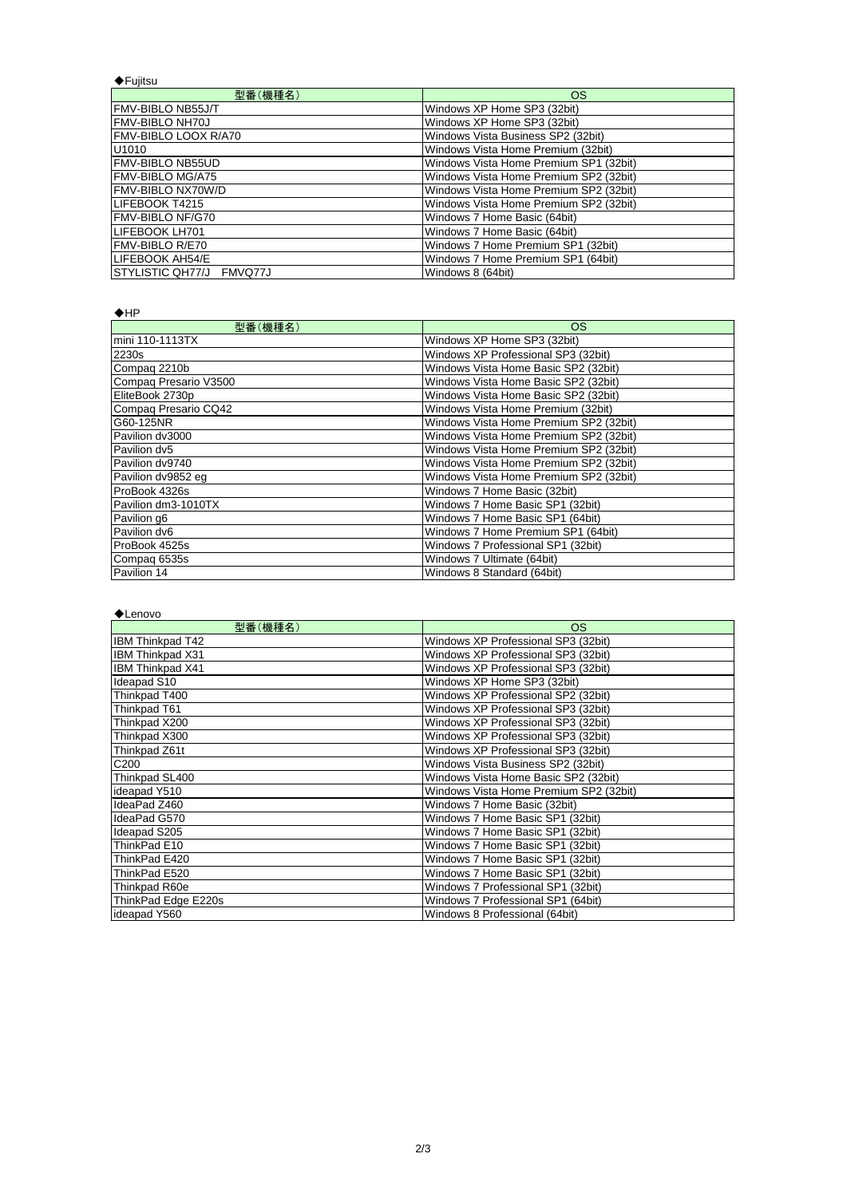| $\bigstar$ Fujitsu       |                                        |
|--------------------------|----------------------------------------|
| 型番(機種名)                  | OS                                     |
| <b>FMV-BIBLO NB55J/T</b> | Windows XP Home SP3 (32bit)            |
| <b>FMV-BIBLO NH70J</b>   | Windows XP Home SP3 (32bit)            |
| FMV-BIBLO LOOX R/A70     | Windows Vista Business SP2 (32bit)     |
| U <sub>1010</sub>        | Windows Vista Home Premium (32bit)     |
| <b>FMV-BIBLO NB55UD</b>  | Windows Vista Home Premium SP1 (32bit) |
| <b>FMV-BIBLO MG/A75</b>  | Windows Vista Home Premium SP2 (32bit) |
| FMV-BIBLO NX70W/D        | Windows Vista Home Premium SP2 (32bit) |
| <b>ILIFEBOOK T4215</b>   | Windows Vista Home Premium SP2 (32bit) |
| <b>FMV-BIBLO NF/G70</b>  | Windows 7 Home Basic (64bit)           |
| LIFEBOOK LH701           | Windows 7 Home Basic (64bit)           |
| FMV-BIBLO R/E70          | Windows 7 Home Premium SP1 (32bit)     |
| LIFEBOOK AH54/E          | Windows 7 Home Premium SP1 (64bit)     |
| STYLISTIC QH77/J FMVQ77J | Windows 8 (64bit)                      |

 $\bigstar$ HP

| $\blacktriangledown$ .<br>型番(機種名) | <b>OS</b>                              |
|-----------------------------------|----------------------------------------|
| mini 110-1113TX                   | Windows XP Home SP3 (32bit)            |
| 2230s                             | Windows XP Professional SP3 (32bit)    |
| Compag 2210b                      | Windows Vista Home Basic SP2 (32bit)   |
| Compaq Presario V3500             | Windows Vista Home Basic SP2 (32bit)   |
| EliteBook 2730p                   | Windows Vista Home Basic SP2 (32bit)   |
| Compaq Presario CQ42              | Windows Vista Home Premium (32bit)     |
| G60-125NR                         | Windows Vista Home Premium SP2 (32bit) |
| Pavilion dv3000                   | Windows Vista Home Premium SP2 (32bit) |
| Pavilion dv5                      | Windows Vista Home Premium SP2 (32bit) |
| Pavilion dv9740                   | Windows Vista Home Premium SP2 (32bit) |
| Pavilion dv9852 eg                | Windows Vista Home Premium SP2 (32bit) |
| ProBook 4326s                     | Windows 7 Home Basic (32bit)           |
| Pavilion dm3-1010TX               | Windows 7 Home Basic SP1 (32bit)       |
| Pavilion g6                       | Windows 7 Home Basic SP1 (64bit)       |
| Pavilion dv6                      | Windows 7 Home Premium SP1 (64bit)     |
| ProBook 4525s                     | Windows 7 Professional SP1 (32bit)     |
| Compag 6535s                      | Windows 7 Ultimate (64bit)             |
| Pavilion 14                       | Windows 8 Standard (64bit)             |

◆Lenovo

| 型番(機種名)                 | <b>OS</b>                              |
|-------------------------|----------------------------------------|
| <b>IBM Thinkpad T42</b> | Windows XP Professional SP3 (32bit)    |
| IBM Thinkpad X31        | Windows XP Professional SP3 (32bit)    |
| <b>IBM Thinkpad X41</b> | Windows XP Professional SP3 (32bit)    |
| Ideapad S10             | Windows XP Home SP3 (32bit)            |
| Thinkpad T400           | Windows XP Professional SP2 (32bit)    |
| Thinkpad T61            | Windows XP Professional SP3 (32bit)    |
| Thinkpad X200           | Windows XP Professional SP3 (32bit)    |
| Thinkpad X300           | Windows XP Professional SP3 (32bit)    |
| Thinkpad Z61t           | Windows XP Professional SP3 (32bit)    |
| C <sub>200</sub>        | Windows Vista Business SP2 (32bit)     |
| Thinkpad SL400          | Windows Vista Home Basic SP2 (32bit)   |
| ideapad Y510            | Windows Vista Home Premium SP2 (32bit) |
| IdeaPad Z460            | Windows 7 Home Basic (32bit)           |
| IdeaPad G570            | Windows 7 Home Basic SP1 (32bit)       |
| Ideapad S205            | Windows 7 Home Basic SP1 (32bit)       |
| ThinkPad E10            | Windows 7 Home Basic SP1 (32bit)       |
| ThinkPad E420           | Windows 7 Home Basic SP1 (32bit)       |
| ThinkPad E520           | Windows 7 Home Basic SP1 (32bit)       |
| Thinkpad R60e           | Windows 7 Professional SP1 (32bit)     |
| ThinkPad Edge E220s     | Windows 7 Professional SP1 (64bit)     |
| lideapad Y560           | Windows 8 Professional (64bit)         |

| lideapad Y560 | Windows 8 Professional (64bit) |
|---------------|--------------------------------|
|---------------|--------------------------------|